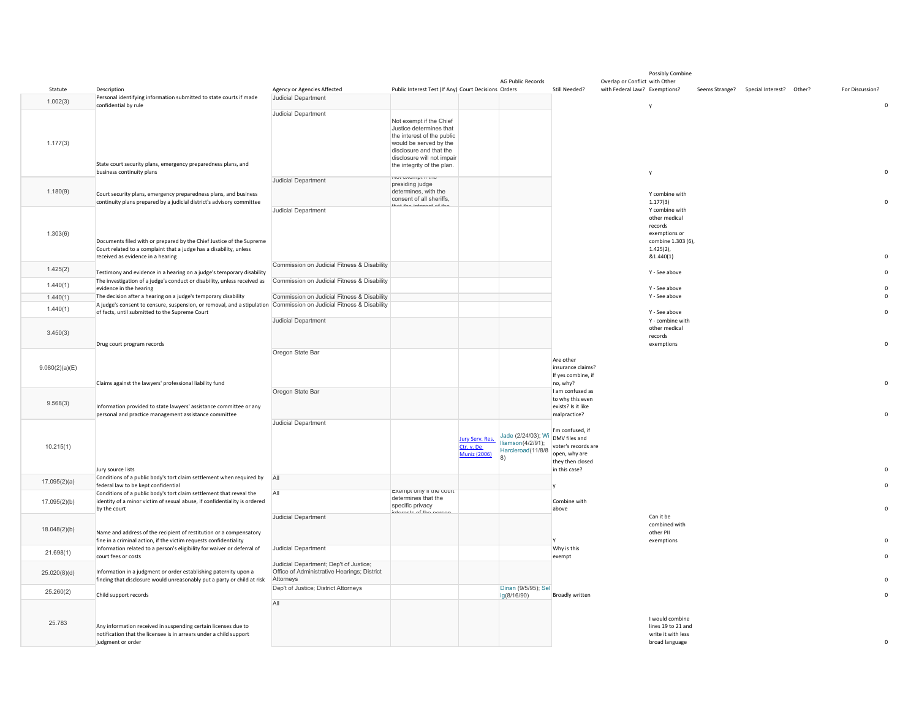| Statute        | Description                                                                                                                                                                     | Agency or Agencies Affected                                                                        | Public Interest Test (If Any) Court Decisions Orders                                                                                                                                              |                                                      | <b>AG Public Records</b>                                            | Still Needed?                                                                                                  | Overlap or Conflict with Other<br>with Federal Law? Exemptions? | Possibly Combine                                                                                               | Seems Strange? Special Interest? Other? | For Discussion? |              |
|----------------|---------------------------------------------------------------------------------------------------------------------------------------------------------------------------------|----------------------------------------------------------------------------------------------------|---------------------------------------------------------------------------------------------------------------------------------------------------------------------------------------------------|------------------------------------------------------|---------------------------------------------------------------------|----------------------------------------------------------------------------------------------------------------|-----------------------------------------------------------------|----------------------------------------------------------------------------------------------------------------|-----------------------------------------|-----------------|--------------|
| 1.002(3)       | Personal identifying information submitted to state courts if made<br>confidential by rule                                                                                      | Judicial Department                                                                                |                                                                                                                                                                                                   |                                                      |                                                                     |                                                                                                                |                                                                 |                                                                                                                |                                         |                 | $\mathsf{O}$ |
| 1.177(3)       | State court security plans, emergency preparedness plans, and<br>business continuity plans                                                                                      | <b>Judicial Department</b>                                                                         | Not exempt if the Chief<br>Justice determines that<br>the interest of the public<br>would be served by the<br>disclosure and that the<br>disclosure will not impair<br>the integrity of the plan. |                                                      |                                                                     |                                                                                                                |                                                                 | y                                                                                                              |                                         |                 | $\Omega$     |
| 1.180(9)       | Court security plans, emergency preparedness plans, and business<br>continuity plans prepared by a judicial district's advisory committee                                       | Judicial Department                                                                                | <b>INAL AMAILING</b><br>presiding judge<br>determines, with the<br>consent of all sheriffs,                                                                                                       |                                                      |                                                                     |                                                                                                                |                                                                 | Y combine with<br>1.177(3)                                                                                     |                                         |                 | $\mathsf{O}$ |
| 1.303(6)       | Documents filed with or prepared by the Chief Justice of the Supreme<br>Court related to a complaint that a judge has a disability, unless<br>received as evidence in a hearing | <b>Judicial Department</b>                                                                         | that the interest of the                                                                                                                                                                          |                                                      |                                                                     |                                                                                                                |                                                                 | Y combine with<br>other medical<br>records<br>exemptions or<br>combine 1.303 (6),<br>$1.425(2)$ ,<br>&1.440(1) |                                         |                 | $\mathbf 0$  |
| 1.425(2)       | Testimony and evidence in a hearing on a judge's temporary disability                                                                                                           | Commission on Judicial Fitness & Disability                                                        |                                                                                                                                                                                                   |                                                      |                                                                     |                                                                                                                |                                                                 | Y - See above                                                                                                  |                                         |                 | $\mathbf 0$  |
| 1.440(1)       | The investigation of a judge's conduct or disability, unless received as<br>evidence in the hearing                                                                             | Commission on Judicial Fitness & Disability                                                        |                                                                                                                                                                                                   |                                                      |                                                                     |                                                                                                                |                                                                 | Y - See above                                                                                                  |                                         |                 | $\mathsf 0$  |
| 1.440(1)       | The decision after a hearing on a judge's temporary disability                                                                                                                  | Commission on Judicial Fitness & Disability                                                        |                                                                                                                                                                                                   |                                                      |                                                                     |                                                                                                                |                                                                 | Y - See above                                                                                                  |                                         |                 | $\mathbf 0$  |
| 1.440(1)       | A judge's consent to censure, suspension, or removal, and a stipulation Commission on Judicial Fitness & Disability<br>of facts, until submitted to the Supreme Court           |                                                                                                    |                                                                                                                                                                                                   |                                                      |                                                                     |                                                                                                                |                                                                 | Y - See above                                                                                                  |                                         |                 | $\mathbf 0$  |
| 3.450(3)       | Drug court program records                                                                                                                                                      | Judicial Department                                                                                |                                                                                                                                                                                                   |                                                      |                                                                     |                                                                                                                |                                                                 | Y - combine with<br>other medical<br>records<br>exemptions                                                     |                                         |                 | $\mathbf 0$  |
| 9.080(2)(a)(E) | Claims against the lawyers' professional liability fund                                                                                                                         | Oregon State Bar                                                                                   |                                                                                                                                                                                                   |                                                      |                                                                     | Are other<br>insurance claims?<br>If yes combine, if<br>no, why?                                               |                                                                 |                                                                                                                |                                         |                 | $\mathbf 0$  |
| 9.568(3)       | Information provided to state lawyers' assistance committee or any<br>personal and practice management assistance committee                                                     | Oregon State Bar                                                                                   |                                                                                                                                                                                                   |                                                      |                                                                     | I am confused as<br>to why this even<br>exists? Is it like<br>malpractice?                                     |                                                                 |                                                                                                                |                                         |                 | $\mathbf 0$  |
| 10.215(1)      | Jury source lists                                                                                                                                                               | <b>Judicial Department</b>                                                                         |                                                                                                                                                                                                   | Jury Serv. Res.<br>Ctr. v. De<br><b>Muniz (2006)</b> | Jade (2/24/03); Wi<br>Iliamson(4/2/91);<br>Harcleroad(11/8/8<br> 8) | I'm confused, if<br>DMV files and<br>voter's records are<br>open, why are<br>they then closed<br>in this case? |                                                                 |                                                                                                                |                                         |                 | $\Omega$     |
| 17.095(2)(a)   | Conditions of a public body's tort claim settlement when required by<br>federal law to be kept confidential                                                                     | All                                                                                                |                                                                                                                                                                                                   |                                                      |                                                                     |                                                                                                                |                                                                 |                                                                                                                |                                         |                 | $\Omega$     |
| 17.095(2)(b)   | Conditions of a public body's tort claim settlement that reveal the<br>identity of a minor victim of sexual abuse, if confidentiality is ordered<br>by the court                | All                                                                                                | exempt only in the court<br>determines that the<br>specific privacy<br>$A0$ $A0$ $A0$                                                                                                             |                                                      |                                                                     | Combine with<br>above                                                                                          |                                                                 |                                                                                                                |                                         |                 | $\mathsf{O}$ |
| 18.048(2)(b)   | Name and address of the recipient of restitution or a compensatory<br>fine in a criminal action, if the victim requests confidentiality                                         | Judicial Department                                                                                |                                                                                                                                                                                                   |                                                      |                                                                     |                                                                                                                |                                                                 | Can it be<br>combined with<br>other PII<br>exemptions                                                          |                                         |                 | $\mathsf 0$  |
| 21.698(1)      | Information related to a person's eligibility for waiver or deferral of<br>court fees or costs                                                                                  | Judicial Department                                                                                |                                                                                                                                                                                                   |                                                      |                                                                     | Why is this<br>exempt                                                                                          |                                                                 |                                                                                                                |                                         |                 | $\mathbf 0$  |
| 25.020(8)(d)   | Information in a judgment or order establishing paternity upon a<br>finding that disclosure would unreasonably put a party or child at risk                                     | Judicial Department; Dep't of Justice;<br>Office of Administrative Hearings; District<br>Attorneys |                                                                                                                                                                                                   |                                                      |                                                                     |                                                                                                                |                                                                 |                                                                                                                |                                         |                 | $\mathbf 0$  |
| 25.260(2)      | Child support records                                                                                                                                                           | Dep't of Justice; District Attorneys                                                               |                                                                                                                                                                                                   |                                                      | Dinan (9/5/95); Sel<br>ig(8/16/90)                                  | Broadly written                                                                                                |                                                                 |                                                                                                                |                                         |                 | $\Omega$     |
| 25.783         | Any information received in suspending certain licenses due to<br>notification that the licensee is in arrears under a child support<br>judgment or order                       | All                                                                                                |                                                                                                                                                                                                   |                                                      |                                                                     |                                                                                                                |                                                                 | I would combine<br>lines 19 to 21 and<br>write it with less<br>broad language                                  |                                         |                 | $\mathsf 0$  |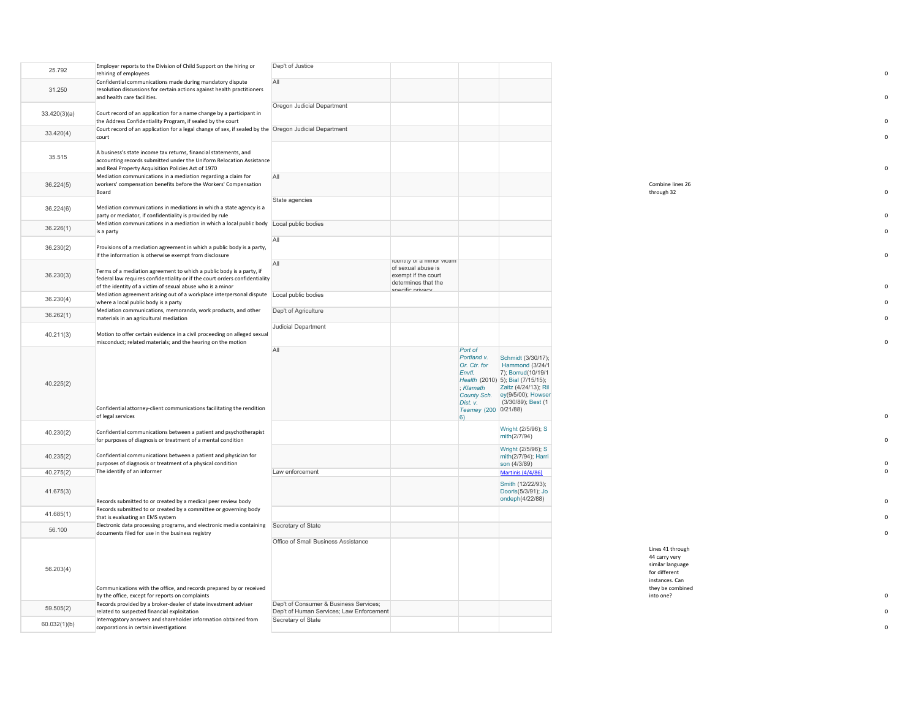| 25,792       | Employer reports to the Division of Child Support on the hiring or<br>rehiring of employees                                               | Dep't of Justice                                               |                                           |                                           |                                                         |                                   |
|--------------|-------------------------------------------------------------------------------------------------------------------------------------------|----------------------------------------------------------------|-------------------------------------------|-------------------------------------------|---------------------------------------------------------|-----------------------------------|
|              | Confidential communications made during mandatory dispute                                                                                 | All                                                            |                                           |                                           |                                                         |                                   |
| 31.250       | resolution discussions for certain actions against health practitioners<br>and health care facilities.                                    |                                                                |                                           |                                           |                                                         |                                   |
|              |                                                                                                                                           | Oregon Judicial Department                                     |                                           |                                           |                                                         |                                   |
| 33.420(3)(a) | Court record of an application for a name change by a participant in<br>the Address Confidentiality Program, if sealed by the court       |                                                                |                                           |                                           |                                                         |                                   |
| 33.420(4)    | Court record of an application for a legal change of sex, if sealed by the Oregon Judicial Department                                     |                                                                |                                           |                                           |                                                         |                                   |
|              | court                                                                                                                                     |                                                                |                                           |                                           |                                                         |                                   |
| 35.515       | A business's state income tax returns, financial statements, and                                                                          |                                                                |                                           |                                           |                                                         |                                   |
|              | accounting records submitted under the Uniform Relocation Assistance<br>and Real Property Acquisition Policies Act of 1970                |                                                                |                                           |                                           |                                                         |                                   |
|              | Mediation communications in a mediation regarding a claim for                                                                             | All                                                            |                                           |                                           |                                                         |                                   |
| 36.224(5)    | workers' compensation benefits before the Workers' Compensation<br>Board                                                                  |                                                                |                                           |                                           |                                                         | Combine lines 26<br>through 32    |
|              |                                                                                                                                           | State agencies                                                 |                                           |                                           |                                                         |                                   |
| 36.224(6)    | Mediation communications in mediations in which a state agency is a<br>party or mediator, if confidentiality is provided by rule          |                                                                |                                           |                                           |                                                         |                                   |
| 36.226(1)    | Mediation communications in a mediation in which a local public body Local public bodies                                                  |                                                                |                                           |                                           |                                                         |                                   |
|              | is a party                                                                                                                                | All                                                            |                                           |                                           |                                                         |                                   |
| 36.230(2)    | Provisions of a mediation agreement in which a public body is a party,                                                                    |                                                                |                                           |                                           |                                                         |                                   |
|              | if the information is otherwise exempt from disclosure                                                                                    | All                                                            | identity or a minor victim                |                                           |                                                         |                                   |
| 36.230(3)    | Terms of a mediation agreement to which a public body is a party, if                                                                      |                                                                | of sexual abuse is<br>exempt if the court |                                           |                                                         |                                   |
|              | federal law requires confidentiality or if the court orders confidentiality<br>of the identity of a victim of sexual abuse who is a minor |                                                                | determines that the                       |                                           |                                                         |                                   |
| 36.230(4)    | Mediation agreement arising out of a workplace interpersonal dispute Local public bodies                                                  |                                                                | nacific nrivacy                           |                                           |                                                         |                                   |
|              | where a local public body is a party<br>Mediation communications, memoranda, work products, and other                                     | Dep't of Agriculture                                           |                                           |                                           |                                                         |                                   |
| 36.262(1)    | materials in an agricultural mediation                                                                                                    |                                                                |                                           |                                           |                                                         |                                   |
| 40.211(3)    | Motion to offer certain evidence in a civil proceeding on alleged sexual                                                                  | <b>Judicial Department</b>                                     |                                           |                                           |                                                         |                                   |
|              | misconduct; related materials; and the hearing on the motion                                                                              |                                                                |                                           |                                           |                                                         |                                   |
|              |                                                                                                                                           | All                                                            |                                           | Port of<br>Portland v.                    | Schmidt (3/30/17);                                      |                                   |
|              |                                                                                                                                           |                                                                |                                           | Or. Ctr. for                              | <b>Hammond (3/24/1)</b>                                 |                                   |
|              |                                                                                                                                           |                                                                |                                           | Envtl.                                    | 7); Borrud(10/19/1<br>Health (2010) 5); Bial (7/15/15); |                                   |
| 40.225(2)    |                                                                                                                                           |                                                                |                                           | : $K$ lamath<br>County Sch.               | Zaitz (4/24/13); Ril<br>ey(9/5/00); Howser              |                                   |
|              |                                                                                                                                           |                                                                |                                           | Dist. v.                                  | (3/30/89); Best (1                                      |                                   |
|              | Confidential attorney-client communications facilitating the rendition<br>of legal services                                               |                                                                |                                           | Teamey (200 0/21/88)<br>$\vert 6 \rangle$ |                                                         |                                   |
|              |                                                                                                                                           |                                                                |                                           |                                           | Wright (2/5/96); S                                      |                                   |
| 40.230(2)    | Confidential communications between a patient and psychotherapist<br>for purposes of diagnosis or treatment of a mental condition         |                                                                |                                           |                                           | mith(2/7/94)                                            |                                   |
|              |                                                                                                                                           |                                                                |                                           |                                           | Wright (2/5/96); S                                      |                                   |
| 40.235(2)    | Confidential communications between a patient and physician for<br>purposes of diagnosis or treatment of a physical condition             |                                                                |                                           |                                           | mith(2/7/94); Harri<br>son (4/3/89)                     |                                   |
| 40.275(2)    | The identify of an informer                                                                                                               | Law enforcement                                                |                                           |                                           | <b>Martinis (4/4/86)</b>                                |                                   |
|              |                                                                                                                                           |                                                                |                                           |                                           | Smith (12/22/93);                                       |                                   |
| 41.675(3)    | Records submitted to or created by a medical peer review body                                                                             |                                                                |                                           |                                           | Dooris(5/3/91); Jo<br>ondeph(4/22/88)                   |                                   |
| 41.685(1)    | Records submitted to or created by a committee or governing body                                                                          |                                                                |                                           |                                           |                                                         |                                   |
|              | that is evaluating an EMS system<br>Electronic data processing programs, and electronic media containing                                  | Secretary of State                                             |                                           |                                           |                                                         |                                   |
| 56.100       | documents filed for use in the business registry                                                                                          |                                                                |                                           |                                           |                                                         |                                   |
|              |                                                                                                                                           | Office of Small Business Assistance                            |                                           |                                           |                                                         | Lines 41 through                  |
|              |                                                                                                                                           |                                                                |                                           |                                           |                                                         | 44 carry very                     |
| 56.203(4)    |                                                                                                                                           |                                                                |                                           |                                           |                                                         | similar language<br>for different |
|              |                                                                                                                                           |                                                                |                                           |                                           |                                                         | instances. Can                    |
|              | Communications with the office, and records prepared by or received<br>by the office, except for reports on complaints                    |                                                                |                                           |                                           |                                                         | they be combined<br>into one?     |
| 59.505(2)    | Records provided by a broker-dealer of state investment adviser                                                                           | Dep't of Consumer & Business Services;                         |                                           |                                           |                                                         |                                   |
|              | related to suspected financial exploitation<br>Interrogatory answers and shareholder information obtained from                            | Dep't of Human Services; Law Enforcement<br>Secretary of State |                                           |                                           |                                                         |                                   |
| 60.032(1)(b) | corporations in certain investigations                                                                                                    |                                                                |                                           |                                           |                                                         |                                   |

0

 $\mathbf 0$ 

0

 $\mathbf 0$ 

 $\mathbf 0$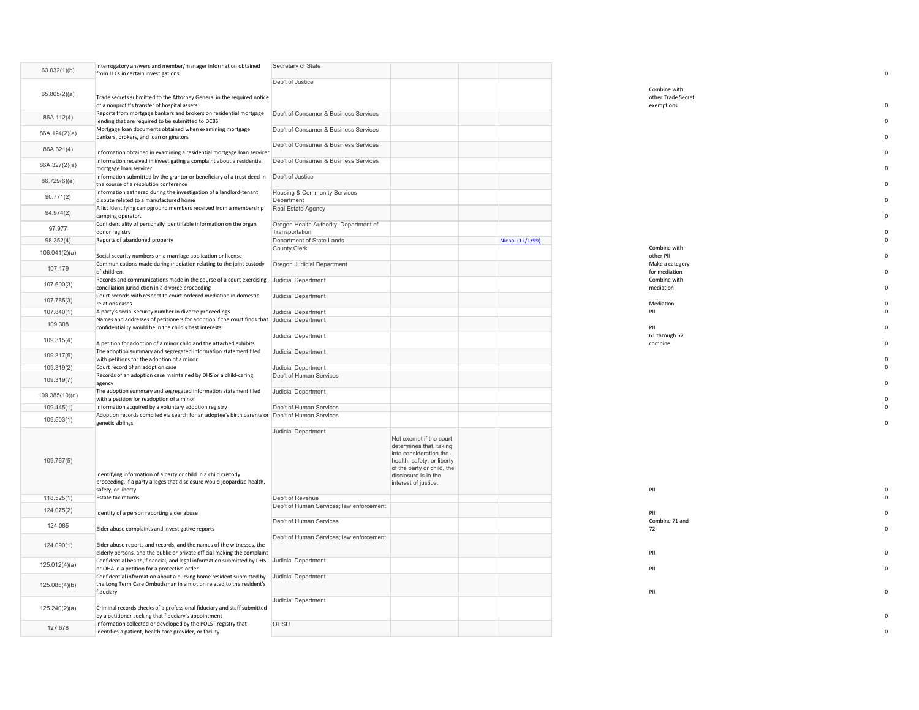| 63.032(1)(b)   | Interrogatory answers and member/manager information obtained<br>from LLCs in certain investigations                                                            | Secretary of State                                       |                                                                                                                                                                                          |                  |                                                  |  |
|----------------|-----------------------------------------------------------------------------------------------------------------------------------------------------------------|----------------------------------------------------------|------------------------------------------------------------------------------------------------------------------------------------------------------------------------------------------|------------------|--------------------------------------------------|--|
|                |                                                                                                                                                                 | Dep't of Justice                                         |                                                                                                                                                                                          |                  |                                                  |  |
| 65.805(2)(a)   | Trade secrets submitted to the Attorney General in the required notice<br>of a nonprofit's transfer of hospital assets                                          |                                                          |                                                                                                                                                                                          |                  | Combine with<br>other Trade Secret<br>exemptions |  |
| 86A.112(4)     | Reports from mortgage bankers and brokers on residential mortgage<br>lending that are required to be submitted to DCBS                                          | Dep't of Consumer & Business Services                    |                                                                                                                                                                                          |                  |                                                  |  |
| 86A.124(2)(a)  | Mortgage loan documents obtained when examining mortgage<br>bankers, brokers, and loan originators                                                              | Dep't of Consumer & Business Services                    |                                                                                                                                                                                          |                  |                                                  |  |
| 86A.321(4)     | Information obtained in examining a residential mortgage loan servicer                                                                                          | Dep't of Consumer & Business Services                    |                                                                                                                                                                                          |                  |                                                  |  |
| 86A.327(2)(a)  | Information received in investigating a complaint about a residential<br>mortgage loan servicer                                                                 | Dep't of Consumer & Business Services                    |                                                                                                                                                                                          |                  |                                                  |  |
| 86.729(6)(e)   | Information submitted by the grantor or beneficiary of a trust deed in<br>the course of a resolution conference                                                 | Dep't of Justice                                         |                                                                                                                                                                                          |                  |                                                  |  |
| 90.771(2)      | Information gathered during the investigation of a landlord-tenant<br>dispute related to a manufactured home                                                    | Housing & Community Services<br>Department               |                                                                                                                                                                                          |                  |                                                  |  |
| 94.974(2)      | A list identifying campground members received from a membership<br>camping operator.                                                                           | Real Estate Agency                                       |                                                                                                                                                                                          |                  |                                                  |  |
| 97.977         | Confidentiality of personally identifiable information on the organ<br>donor registry                                                                           | Oregon Health Authority; Department of<br>Transportation |                                                                                                                                                                                          |                  |                                                  |  |
| 98.352(4)      | Reports of abandoned property                                                                                                                                   | Department of State Lands                                |                                                                                                                                                                                          | Nichol (12/1/99) |                                                  |  |
| 106.041(2)(a)  | Social security numbers on a marriage application or license                                                                                                    | County Clerk                                             |                                                                                                                                                                                          |                  | Combine with<br>other PII                        |  |
|                | Communications made during mediation relating to the joint custody                                                                                              | Oregon Judicial Department                               |                                                                                                                                                                                          |                  | Make a category                                  |  |
| 107.179        | of children.                                                                                                                                                    |                                                          |                                                                                                                                                                                          |                  | for mediation                                    |  |
| 107.600(3)     | Records and communications made in the course of a court exercising Judicial Department<br>conciliation jurisdiction in a divorce proceeding                    |                                                          |                                                                                                                                                                                          |                  | Combine with<br>mediation                        |  |
| 107.785(3)     | Court records with respect to court-ordered mediation in domestic<br>relations cases                                                                            | <b>Judicial Department</b>                               |                                                                                                                                                                                          |                  | Mediation                                        |  |
| 107.840(1)     | A party's social security number in divorce proceedings                                                                                                         | Judicial Department                                      |                                                                                                                                                                                          |                  | PII                                              |  |
| 109.308        | Names and addresses of petitioners for adoption if the court finds that Judicial Department<br>confidentiality would be in the child's best interests           |                                                          |                                                                                                                                                                                          |                  | PII                                              |  |
| 109.315(4)     | A petition for adoption of a minor child and the attached exhibits                                                                                              | Judicial Department                                      |                                                                                                                                                                                          |                  | 61 through 67<br>combine                         |  |
| 109.317(5)     | The adoption summary and segregated information statement filed<br>with petitions for the adoption of a minor                                                   | Judicial Department                                      |                                                                                                                                                                                          |                  |                                                  |  |
| 109.319(2)     | Court record of an adoption case                                                                                                                                | Judicial Department                                      |                                                                                                                                                                                          |                  |                                                  |  |
| 109.319(7)     | Records of an adoption case maintained by DHS or a child-caring<br>agency                                                                                       | Dep't of Human Services                                  |                                                                                                                                                                                          |                  |                                                  |  |
| 109.385(10)(d) | The adoption summary and segregated information statement filed<br>with a petition for readoption of a minor                                                    | Judicial Department                                      |                                                                                                                                                                                          |                  |                                                  |  |
| 109.445(1)     | Information acquired by a voluntary adoption registry                                                                                                           | Dep't of Human Services                                  |                                                                                                                                                                                          |                  |                                                  |  |
| 109.503(1)     | Adoption records compiled via search for an adoptee's birth parents or Dep't of Human Services<br>genetic siblings                                              |                                                          |                                                                                                                                                                                          |                  |                                                  |  |
| 109.767(5)     | Identifying information of a party or child in a child custody<br>proceeding, if a party alleges that disclosure would jeopardize health,<br>safety, or liberty | Judicial Department                                      | Not exempt if the court<br>determines that, taking<br>into consideration the<br>health, safety, or liberty<br>of the party or child, the<br>disclosure is in the<br>interest of justice. |                  | PII                                              |  |
| 118.525(1)     | Estate tax returns                                                                                                                                              | Dep't of Revenue                                         |                                                                                                                                                                                          |                  |                                                  |  |
| 124.075(2)     | Identity of a person reporting elder abuse                                                                                                                      | Dep't of Human Services; law enforcement                 |                                                                                                                                                                                          |                  | PII                                              |  |
| 124.085        | Elder abuse complaints and investigative reports                                                                                                                | Dep't of Human Services                                  |                                                                                                                                                                                          |                  | Combine 71 and<br>72                             |  |
| 124.090(1)     | Elder abuse reports and records, and the names of the witnesses, the<br>elderly persons, and the public or private official making the complaint                | Dep't of Human Services; law enforcement                 |                                                                                                                                                                                          |                  | PII                                              |  |
| 125.012(4)(a)  | Confidential health, financial, and legal information submitted by DHS Judicial Department<br>or OHA in a petition for a protective order                       |                                                          |                                                                                                                                                                                          |                  | PII                                              |  |
| 125.085(4)(b)  | Confidential information about a nursing home resident submitted by<br>the Long Term Care Ombudsman in a motion related to the resident's<br>fiduciary          | Judicial Department                                      |                                                                                                                                                                                          |                  | PII                                              |  |
| 125.240(2)(a)  | Criminal records checks of a professional fiduciary and staff submitted<br>by a petitioner seeking that fiduciary's appointment                                 | Judicial Department                                      |                                                                                                                                                                                          |                  |                                                  |  |
| 127.678        | Information collected or developed by the POLST registry that<br>identifies a patient, health care provider, or facility                                        | OHSU                                                     |                                                                                                                                                                                          |                  |                                                  |  |

| Combine with    |   |
|-----------------|---|
| other PII       | 0 |
| Make a category |   |
| for mediation   | 0 |
| Combine with    |   |
| mediation       | 0 |
| Mediation       | 0 |
| PII             | 0 |
| PII             | 0 |

0

 $\mathfrak{o}$  $\mathsf{o}$ 

 $\begin{smallmatrix}0\\0\\0\end{smallmatrix}$ 

 $\mathbf 0$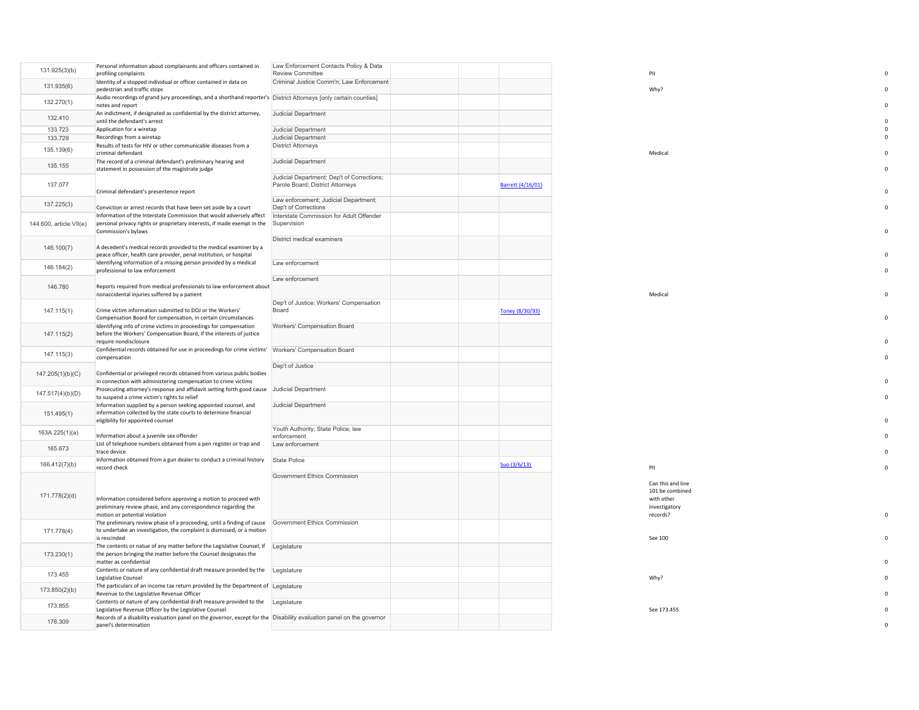| 131.925(3)(b)           | Personal information about complainants and officers contained in<br>profiling complaints                                                                                        | Law Enforcement Contacts Policy & Data<br>Review Committee                     |                   | PII                                                                             |             |
|-------------------------|----------------------------------------------------------------------------------------------------------------------------------------------------------------------------------|--------------------------------------------------------------------------------|-------------------|---------------------------------------------------------------------------------|-------------|
|                         | Identity of a stopped individual or officer contained in data on                                                                                                                 | Criminal Justice Comm'n; Law Enforcement                                       |                   |                                                                                 |             |
| 131.935(6)              | pedestrian and traffic stops                                                                                                                                                     |                                                                                |                   | Why?                                                                            |             |
| 132.270(1)              | Audio recordings of grand jury proceedings, and a shorthand reporter's District Attorneys [only certain counties]<br>notes and report                                            |                                                                                |                   |                                                                                 | $\Omega$    |
| 132.410                 | An indictment, if designated as confidential by the district attorney,<br>until the defendant's arrest                                                                           | Judicial Department                                                            |                   |                                                                                 |             |
| 133.723                 | Application for a wiretap                                                                                                                                                        | Judicial Department                                                            |                   |                                                                                 | $\Omega$    |
| 133.729                 | Recordings from a wiretap                                                                                                                                                        | Judicial Department                                                            |                   |                                                                                 | $\Omega$    |
| 135.139(6)              | Results of tests for HIV or other communicable diseases from a<br>criminal defendant                                                                                             | <b>District Attorneys</b>                                                      |                   | Medical                                                                         |             |
| 135.155                 | The record of a criminal defendant's preliminary hearing and<br>statement in possession of the magistrate judge                                                                  | Judicial Department                                                            |                   |                                                                                 | $\Omega$    |
| 137.077                 | Criminal defendant's presentence report                                                                                                                                          | Judicial Department; Dep't of Corrections;<br>Parole Board; District Attorneys | Barrett (4/16/01) |                                                                                 | $\Omega$    |
| 137.225(3)              | Conviction or arrest records that have been set aside by a court                                                                                                                 | Law enforcement; Judicial Department;<br>Dep't of Corrections                  |                   |                                                                                 | $\Omega$    |
| 144.600, article VII(e) | Information of the Interstate Commission that would adversely affect<br>personal privacy rights or proprietary interests, if made exempt in the<br>Commission's bylaws           | Interstate Commission for Adult Offender<br>Supervision                        |                   |                                                                                 | $\mathbf 0$ |
| 146.100(7)              | A decedent's medical records provided to the medical examiner by a                                                                                                               | District medical examiners                                                     |                   |                                                                                 |             |
|                         | peace officer, health care provider, penal institution, or hospital<br>Identifying information of a missing person provided by a medical                                         | Law enforcement                                                                |                   |                                                                                 | $\Omega$    |
| 146.184(2)              | professional to law enforcement                                                                                                                                                  | Law enforcement                                                                |                   |                                                                                 | $\Omega$    |
| 146,780                 | Reports required from medical professionals to law enforcement about<br>nonaccidental injuries suffered by a patient                                                             |                                                                                |                   | Medical                                                                         | $\mathbf 0$ |
| 147.115(1)              | Crime victim information submitted to DOJ or the Workers'<br>Compensation Board for compensation, in certain circumstances                                                       | Dep't of Justice; Workers' Compensation<br>Board                               | Toney (8/30/93)   |                                                                                 | $\Omega$    |
| 147.115(2)              | Identifying info of crime victims in proceedings for compensation<br>before the Workers' Compensation Board, if the interests of justice<br>require nondisclosure                | Workers' Compensation Board                                                    |                   |                                                                                 |             |
| 147.115(3)              | Confidential records obtained for use in proceedings for crime victims' Workers' Compensation Board<br>compensation                                                              |                                                                                |                   |                                                                                 |             |
| 147.205(1)(b)(C)        | Confidential or privileged records obtained from various public bodies<br>in connection with administering compensation to crime victims                                         | Dep't of Justice                                                               |                   |                                                                                 |             |
| 147.517(4)(b)(D)        | Prosecuting attorney's response and affidavit setting forth good cause Judicial Department<br>to suspend a crime victim's rights to relief                                       |                                                                                |                   |                                                                                 |             |
| 151.495(1)              | Information supplied by a person seeking appointed counsel, and<br>information collected by the state courts to determine financial<br>eligibility for appointed counsel         | Judicial Department                                                            |                   |                                                                                 |             |
| 163A.225(1)(a)          | Information about a juvenile sex offender                                                                                                                                        | Youth Authority; State Police; law<br>enforcement                              |                   |                                                                                 |             |
| 165.673                 | List of telephone numbers obtained from a pen register or trap and<br>trace device                                                                                               | Law enforcement                                                                |                   |                                                                                 | $\Omega$    |
| 166.412(7)(b)           | Information obtained from a gun dealer to conduct a criminal history<br>record check                                                                                             | State Police                                                                   | Suo (3/6/13)      | PII                                                                             | $\Omega$    |
|                         |                                                                                                                                                                                  | Government Ethics Commission                                                   |                   |                                                                                 |             |
| 171.778(2)(d)           | Information considered before approving a motion to proceed with<br>preliminary review phase, and any correspondence regarding the<br>motion or potential violation              |                                                                                |                   | Can this and line<br>101 be combined<br>with other<br>investigatory<br>records? | $\Omega$    |
| 171.778(4)              | The preliminary review phase of a proceeding, until a finding of cause<br>to undertake an investigation, the complaint is dismissed, or a motion<br>is rescinded                 | Government Ethics Commission                                                   |                   | See 100                                                                         | $\Omega$    |
| 173.230(1)              | The contents or natue of any matter before the Legislative Counsel, if Legislature<br>the person bringing the matter before the Counsel designates the<br>matter as confidential |                                                                                |                   |                                                                                 |             |
| 173.455                 | Contents or nature of any confidential draft measure provided by the Legislature<br>Legislative Counsel                                                                          |                                                                                |                   | Why?                                                                            |             |
| 173.850(2)(b)           | The particulars of an income tax return provided by the Department of Legislature<br>Revenue to the Legislative Revenue Officer                                                  |                                                                                |                   |                                                                                 |             |
| 173,855                 | Contents or nature of any confidential draft measure provided to the  Legislature<br>Legislative Revenue Officer by the Legislative Counsel                                      |                                                                                |                   | See 173.455                                                                     |             |
| 176.309                 | Records of a disability evaluation panel on the governor, except for the Disability evaluation panel on the governor<br>panel's determination                                    |                                                                                |                   |                                                                                 | $\Omega$    |
|                         |                                                                                                                                                                                  |                                                                                |                   |                                                                                 |             |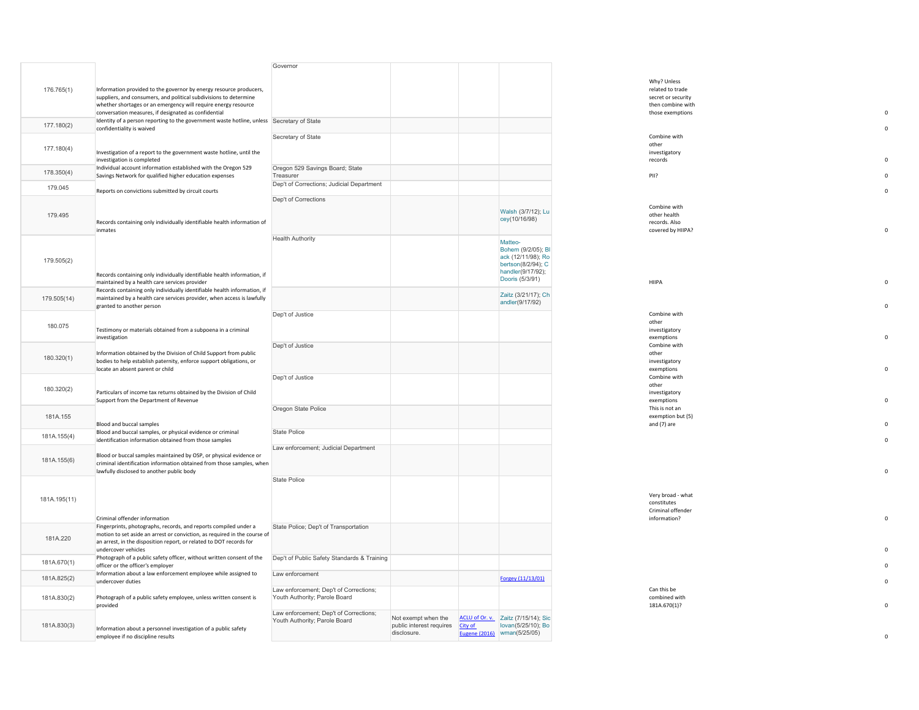|              |                                                                                                                                                                                                                                             | Governor                                                                |                                                                |                |                                                                                                                   |                                                                       |  |
|--------------|---------------------------------------------------------------------------------------------------------------------------------------------------------------------------------------------------------------------------------------------|-------------------------------------------------------------------------|----------------------------------------------------------------|----------------|-------------------------------------------------------------------------------------------------------------------|-----------------------------------------------------------------------|--|
| 176.765(1)   | Information provided to the governor by energy resource producers,                                                                                                                                                                          |                                                                         |                                                                |                |                                                                                                                   | Why? Unless<br>related to trade                                       |  |
|              | suppliers, and consumers, and political subdivisions to determine<br>whether shortages or an emergency will require energy resource<br>conversation measures, if designated as confidential                                                 |                                                                         |                                                                |                |                                                                                                                   | secret or security<br>then combine with<br>those exemptions           |  |
| 177.180(2)   | Identity of a person reporting to the government waste hotline, unless Secretary of State<br>confidentiality is waived                                                                                                                      |                                                                         |                                                                |                |                                                                                                                   |                                                                       |  |
| 177.180(4)   | Investigation of a report to the government waste hotline, until the<br>investigation is completed                                                                                                                                          | Secretary of State                                                      |                                                                |                |                                                                                                                   | Combine with<br>other<br>investigatory<br>records                     |  |
| 178.350(4)   | Individual account information established with the Oregon 529<br>Savings Network for qualified higher education expenses                                                                                                                   | Oregon 529 Savings Board; State<br>Treasurer                            |                                                                |                |                                                                                                                   | PII?                                                                  |  |
| 179.045      | Reports on convictions submitted by circuit courts                                                                                                                                                                                          | Dep't of Corrections; Judicial Department                               |                                                                |                |                                                                                                                   |                                                                       |  |
| 179.495      | Records containing only individually identifiable health information of<br>inmates                                                                                                                                                          | Dep't of Corrections                                                    |                                                                |                | Walsh (3/7/12); Lu<br>cey(10/16/98)                                                                               | Combine with<br>other health<br>records. Also<br>covered by HIIPA?    |  |
| 179.505(2)   | Records containing only individually identifiable health information, if                                                                                                                                                                    | <b>Health Authority</b>                                                 |                                                                |                | Matteo-<br>Bohem (9/2/05); BI<br>ack (12/11/98); Ro<br>bertson(8/2/94); C<br>handler(9/17/92);<br>Dooris (5/3/91) | HIIPA                                                                 |  |
| 179.505(14)  | maintained by a health care services provider<br>Records containing only individually identifiable health information, if<br>maintained by a health care services provider, when access is lawfully<br>granted to another person            |                                                                         |                                                                |                | Zaitz (3/21/17); Ch<br>andler(9/17/92)                                                                            |                                                                       |  |
| 180.075      | Testimony or materials obtained from a subpoena in a criminal<br>investigation                                                                                                                                                              | Dep't of Justice                                                        |                                                                |                |                                                                                                                   | Combine with<br>other<br>investigatory<br>exemptions                  |  |
| 180.320(1)   | Information obtained by the Division of Child Support from public<br>bodies to help establish paternity, enforce support obligations, or<br>locate an absent parent or child                                                                | Dep't of Justice                                                        |                                                                |                |                                                                                                                   | Combine with<br>other<br>investigatory<br>exemptions                  |  |
| 180.320(2)   | Particulars of income tax returns obtained by the Division of Child<br>Support from the Department of Revenue                                                                                                                               | Dep't of Justice                                                        |                                                                |                |                                                                                                                   | Combine with<br>other<br>investigatory<br>exemptions                  |  |
| 181A.155     | Blood and buccal samples                                                                                                                                                                                                                    | Oregon State Police                                                     |                                                                |                |                                                                                                                   | This is not an<br>exemption but (5)<br>and (7) are                    |  |
| 181A.155(4)  | Blood and buccal samples, or physical evidence or criminal<br>identification information obtained from those samples                                                                                                                        | State Police                                                            |                                                                |                |                                                                                                                   |                                                                       |  |
| 181A.155(6)  | Blood or buccal samples maintained by OSP, or physical evidence or<br>criminal identification information obtained from those samples, when<br>lawfully disclosed to another public body                                                    | Law enforcement; Judicial Department                                    |                                                                |                |                                                                                                                   |                                                                       |  |
| 181A.195(11) | Criminal offender information                                                                                                                                                                                                               | State Police                                                            |                                                                |                |                                                                                                                   | Very broad - what<br>constitutes<br>Criminal offender<br>information? |  |
| 181A.220     | Fingerprints, photographs, records, and reports compiled under a<br>motion to set aside an arrest or conviction, as required in the course of<br>an arrest, in the disposition report, or related to DOT records for<br>undercover vehicles | State Police; Dep't of Transportation                                   |                                                                |                |                                                                                                                   |                                                                       |  |
| 181A.670(1)  | Photograph of a public safety officer, without written consent of the<br>officer or the officer's employer                                                                                                                                  | Dep't of Public Safety Standards & Training                             |                                                                |                |                                                                                                                   |                                                                       |  |
| 181A.825(2)  | Information about a law enforcement employee while assigned to<br>undercover duties                                                                                                                                                         | Law enforcement                                                         |                                                                |                | Forgey (11/13/01)                                                                                                 |                                                                       |  |
| 181A.830(2)  | Photograph of a public safety employee, unless written consent is<br>provided                                                                                                                                                               | Law enforcement; Dep't of Corrections;<br>Youth Authority; Parole Board |                                                                |                |                                                                                                                   | Can this be<br>combined with<br>181A.670(1)?                          |  |
| 181A.830(3)  | Information about a personnel investigation of a public safety<br>employee if no discipline results                                                                                                                                         | Law enforcement; Dep't of Corrections;<br>Youth Authority; Parole Board | Not exempt when the<br>public interest requires<br>disclosure. | <b>City of</b> | ACLU of Or. v. Zaitz (7/15/14); Sic<br>lovan(5/25/10); Bo<br>Eugene (2016) wman(5/25/05)                          |                                                                       |  |

|                                          | Why? Unless<br>related to trade         |             |
|------------------------------------------|-----------------------------------------|-------------|
|                                          | secret or security<br>then combine with |             |
|                                          | those exemptions                        | O           |
|                                          |                                         | $\mathbf 0$ |
|                                          | Combine with                            |             |
|                                          | other<br>investigatory                  |             |
|                                          | records                                 | $\Omega$    |
|                                          | PII?                                    | $\mathbf 0$ |
|                                          |                                         | O           |
|                                          | Combine with                            |             |
| Walsh (3/7/12); Lu<br>cey(10/16/98)      | other health                            |             |
|                                          | records. Also<br>covered by HIIPA?      | O           |
| Matteo-                                  |                                         |             |
| Bohem (9/2/05); BI                       |                                         |             |
| ack (12/11/98); Ro<br>bertson(8/2/94); C |                                         |             |
| handler(9/17/92);<br>Dooris (5/3/91)     | HIIPA                                   | O           |
| Zaitz (3/21/17); Ch                      |                                         |             |
| andler(9/17/92)                          |                                         | O           |
|                                          | Combine with<br>other                   |             |
|                                          | investigatory                           |             |
|                                          | exemptions                              | O           |
|                                          | Combine with<br>other                   |             |
|                                          | investigatory<br>exemptions             | $\mathbf 0$ |
|                                          | Combine with                            |             |
|                                          | other<br>investigatory                  |             |
|                                          | exemptions                              | $\mathbf 0$ |
|                                          | This is not an<br>exemption but (5)     |             |
|                                          | and (7) are                             | $\mathbf 0$ |
|                                          |                                         | O           |
|                                          |                                         |             |
|                                          |                                         |             |
|                                          |                                         | O           |
|                                          | Very broad - what                       |             |
|                                          | constitutes                             |             |
|                                          | Criminal offender<br>information?       | $\mathbf 0$ |
|                                          |                                         |             |
|                                          |                                         |             |
|                                          |                                         | $\mathbf 0$ |
|                                          |                                         | O           |
| Forgey (11/13/01)                        |                                         | $\mathbf 0$ |
|                                          | Can this be                             |             |
|                                          | combined with<br>181A.670(1)?           | O           |
| Zaitz (7/15/14); Sic                     |                                         |             |
|                                          |                                         |             |

 $\mathfrak o$ 

 $\mathfrak o$ 

 $\mathbf 0$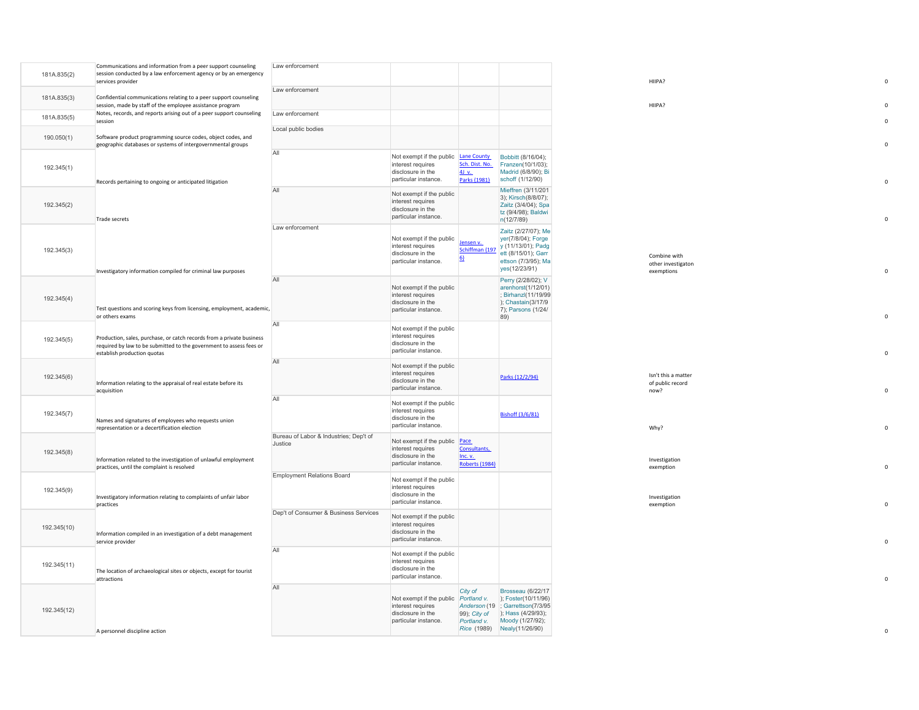|             | Communications and information from a peer support counseling<br>session conducted by a law enforcement agency or by an emergency                                           | Law enforcement                                   |                                                                                                        |                                                  |                                                                                                                                |                                                  |  |
|-------------|-----------------------------------------------------------------------------------------------------------------------------------------------------------------------------|---------------------------------------------------|--------------------------------------------------------------------------------------------------------|--------------------------------------------------|--------------------------------------------------------------------------------------------------------------------------------|--------------------------------------------------|--|
| 181A.835(2) | services provider                                                                                                                                                           |                                                   |                                                                                                        |                                                  |                                                                                                                                | HIIPA?                                           |  |
| 181A.835(3) | Confidential communications relating to a peer support counseling<br>session, made by staff of the employee assistance program                                              | Law enforcement                                   |                                                                                                        |                                                  |                                                                                                                                | HIIPA?                                           |  |
| 181A.835(5) | Notes, records, and reports arising out of a peer support counseling<br>session                                                                                             | Law enforcement                                   |                                                                                                        |                                                  |                                                                                                                                |                                                  |  |
| 190.050(1)  | Software product programming source codes, object codes, and<br>geographic databases or systems of intergovernmental groups                                                 | Local public bodies                               |                                                                                                        |                                                  |                                                                                                                                |                                                  |  |
| 192.345(1)  | Records pertaining to ongoing or anticipated litigation                                                                                                                     | All                                               | Not exempt if the public Lane County<br>interest requires<br>disclosure in the<br>particular instance. | Sch. Dist. No.<br>$4J$ v.<br>Parks (1981)        | Bobbitt (8/16/04);<br>Franzen(10/1/03);<br>Madrid (6/8/90); Bi<br>schoff (1/12/90)                                             |                                                  |  |
| 192.345(2)  | Trade secrets                                                                                                                                                               | All                                               | Not exempt if the public<br>interest requires<br>disclosure in the<br>particular instance.             |                                                  | Mieffren (3/11/201<br>3); Kirsch(8/8/07);<br>Zaitz (3/4/04); Spa<br>tz (9/4/98); Baldwi<br>n(12/7/89)                          |                                                  |  |
| 192.345(3)  | Investigatory information compiled for criminal law purposes                                                                                                                | Law enforcement                                   | Not exempt if the public<br>interest requires<br>disclosure in the<br>particular instance.             | Jensen v.<br>Schiffman (197<br>6)                | Zaitz (2/27/07); Me<br>yer(7/8/04); Forge<br>y (11/13/01); Padg<br>ett (8/15/01); Garr<br>ettson (7/3/95); Ma<br>yes(12/23/91) | Combine with<br>other investigaton<br>exemptions |  |
| 192.345(4)  | Test questions and scoring keys from licensing, employment, academic,<br>or others exams                                                                                    | All                                               | Not exempt if the public<br>interest requires<br>disclosure in the<br>particular instance.             |                                                  | Perry (2/28/02); V<br>arenhorst(1/12/01)<br>; Birhanzl(11/19/99<br>); Chastain(3/17/9<br>7); Parsons (1/24/<br>89)             |                                                  |  |
| 192.345(5)  | Production, sales, purchase, or catch records from a private business<br>required by law to be submitted to the government to assess fees or<br>establish production quotas | All                                               | Not exempt if the public<br>interest requires<br>disclosure in the<br>particular instance.             |                                                  |                                                                                                                                |                                                  |  |
| 192.345(6)  | Information relating to the appraisal of real estate before its<br>acquisition                                                                                              | All                                               | Not exempt if the public<br>interest requires<br>disclosure in the<br>particular instance.             |                                                  | Parks (12/2/94)                                                                                                                | Isn't this a matter<br>of public record<br>now?  |  |
| 192.345(7)  | Names and signatures of employees who requests union<br>representation or a decertification election                                                                        | $\mathsf{All}$                                    | Not exempt if the public<br>interest requires<br>disclosure in the<br>particular instance.             |                                                  | Bishoff (3/6/81)                                                                                                               | Why?                                             |  |
| 192.345(8)  | Information related to the investigation of unlawful employment<br>practices, until the complaint is resolved                                                               | Bureau of Labor & Industries; Dep't of<br>Justice | Not exempt if the public Pace<br>interest requires<br>disclosure in the<br>particular instance.        | Consultants,<br>Inc. v.<br><b>Roberts (1984)</b> |                                                                                                                                | Investigation<br>exemption                       |  |
| 192.345(9)  | Investigatory information relating to complaints of unfair labor<br>practices                                                                                               | <b>Employment Relations Board</b>                 | Not exempt if the public<br>interest requires<br>disclosure in the<br>particular instance.             |                                                  |                                                                                                                                | Investigation<br>exemption                       |  |
| 192.345(10) | Information compiled in an investigation of a debt management<br>service provider                                                                                           | Dep't of Consumer & Business Services             | Not exempt if the public<br>interest requires<br>disclosure in the<br>particular instance.             |                                                  |                                                                                                                                |                                                  |  |
| 192.345(11) | The location of archaeological sites or objects, except for tourist<br>attractions                                                                                          | All                                               | Not exempt if the public<br>interest requires<br>disclosure in the<br>particular instance.             |                                                  |                                                                                                                                |                                                  |  |
| 192.345(12) |                                                                                                                                                                             | All                                               | Not exempt if the public Portland v.<br>interest requires<br>disclosure in the<br>particular instance. | City of<br>99); City of<br>Portland v.           | <b>Brosseau</b> (6/22/17<br>); Foster(10/11/96)<br>Anderson (19 ; Garrettson(7/3/95<br>); Hass (4/29/93);<br>Moody (1/27/92);  |                                                  |  |
|             | A personnel discipline action                                                                                                                                               |                                                   |                                                                                                        |                                                  | Rice (1989) Nealy(11/26/90)                                                                                                    |                                                  |  |

 $\mathsf{o}$ 

 $\mathbf 0$ 

 $\mathsf{o}$ 

 $\mathsf{o}$ 

 $\mathbf 0$ 

 $\mathfrak o$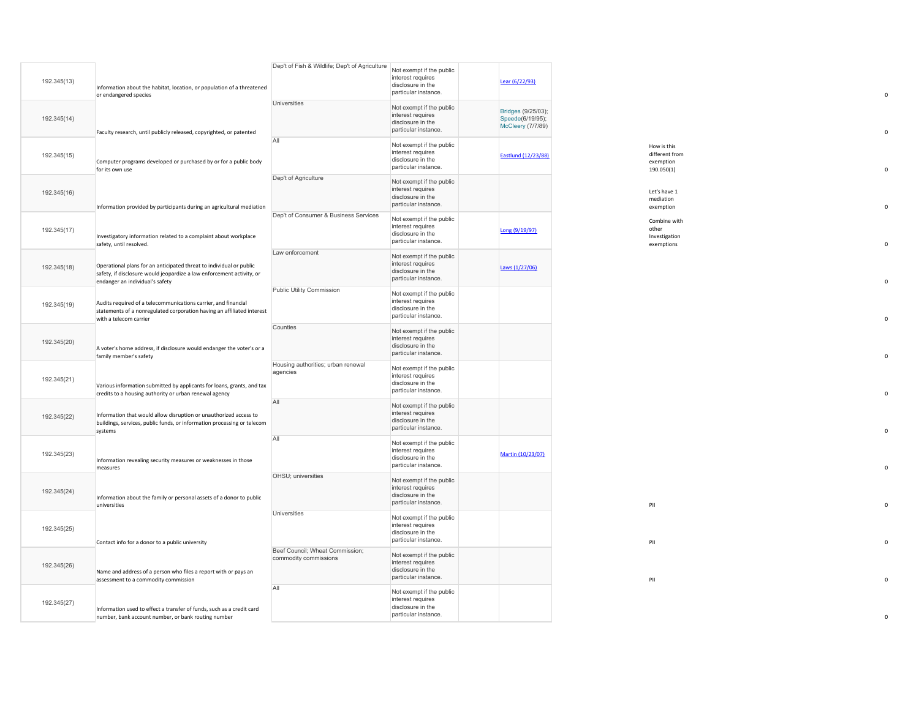| 192.345(13) | Information about the habitat, location, or population of a threatened<br>or endangered species                                                                                 | Dep't of Fish & Wildlife; Dep't of Agriculture           | Not exempt if the public<br>interest requires<br>disclosure in the<br>particular instance. | Lear (6/22/93)                                              |                                                          |
|-------------|---------------------------------------------------------------------------------------------------------------------------------------------------------------------------------|----------------------------------------------------------|--------------------------------------------------------------------------------------------|-------------------------------------------------------------|----------------------------------------------------------|
| 192.345(14) | Faculty research, until publicly released, copyrighted, or patented                                                                                                             | Universities                                             | Not exempt if the public<br>interest requires<br>disclosure in the<br>particular instance. | Bridges (9/25/03);<br>Speede(6/19/95);<br>McCleery (7/7/89) |                                                          |
| 192.345(15) | Computer programs developed or purchased by or for a public body<br>for its own use                                                                                             | All                                                      | Not exempt if the public<br>interest requires<br>disclosure in the<br>particular instance. | Eastlund (12/23/88)                                         | How is this<br>different from<br>exemption<br>190.050(1) |
| 192.345(16) | Information provided by participants during an agricultural mediation                                                                                                           | Dep't of Agriculture                                     | Not exempt if the public<br>interest requires<br>disclosure in the<br>particular instance. |                                                             | Let's have 1<br>mediation<br>exemption                   |
| 192.345(17) | Investigatory information related to a complaint about workplace<br>safety, until resolved.                                                                                     | Dep't of Consumer & Business Services                    | Not exempt if the public<br>interest requires<br>disclosure in the<br>particular instance. | Long (9/19/97)                                              | Combine with<br>other<br>Investigation<br>exemptions     |
| 192.345(18) | Operational plans for an anticipated threat to individual or public<br>safety, if disclosure would jeopardize a law enforcement activity, or<br>endanger an individual's safety | Law enforcement                                          | Not exempt if the public<br>interest requires<br>disclosure in the<br>particular instance. | Laws (1/27/06)                                              |                                                          |
| 192.345(19) | Audits required of a telecommunications carrier, and financial<br>statements of a nonregulated corporation having an affiliated interest<br>with a telecom carrier              | Public Utility Commission                                | Not exempt if the public<br>interest requires<br>disclosure in the<br>particular instance. |                                                             |                                                          |
| 192.345(20) | A voter's home address, if disclosure would endanger the voter's or a<br>family member's safety                                                                                 | Counties                                                 | Not exempt if the public<br>interest requires<br>disclosure in the<br>particular instance. |                                                             |                                                          |
| 192.345(21) | Various information submitted by applicants for loans, grants, and tax<br>credits to a housing authority or urban renewal agency                                                | Housing authorities; urban renewal<br>agencies           | Not exempt if the public<br>interest requires<br>disclosure in the<br>particular instance. |                                                             |                                                          |
| 192.345(22) | Information that would allow disruption or unauthorized access to<br>buildings, services, public funds, or information processing or telecom<br>systems                         | All                                                      | Not exempt if the public<br>interest requires<br>disclosure in the<br>particular instance. |                                                             |                                                          |
| 192.345(23) | Information revealing security measures or weaknesses in those<br>measures                                                                                                      | All                                                      | Not exempt if the public<br>interest requires<br>disclosure in the<br>particular instance. | Martin (10/23/07)                                           |                                                          |
| 192.345(24) | Information about the family or personal assets of a donor to public<br>universities                                                                                            | OHSU; universities                                       | Not exempt if the public<br>interest requires<br>disclosure in the<br>particular instance. |                                                             | PII                                                      |
| 192.345(25) | Contact info for a donor to a public university                                                                                                                                 | Universities                                             | Not exempt if the public<br>interest requires<br>disclosure in the<br>particular instance. |                                                             | PII                                                      |
| 192.345(26) | Name and address of a person who files a report with or pays an<br>assessment to a commodity commission                                                                         | Beef Council; Wheat Commission;<br>commodity commissions | Not exempt if the public<br>interest requires<br>disclosure in the<br>particular instance. |                                                             | PII                                                      |
| 192.345(27) | Information used to effect a transfer of funds, such as a credit card<br>number, bank account number, or bank routing number                                                    | All                                                      | Not exempt if the public<br>interest requires<br>disclosure in the<br>particular instance. |                                                             |                                                          |

0

 $\mathbf 0$ 

 $\mathbf 0$ 

 $\mathsf{o}$ 

 $\mathsf{o}$ 

 $\mathbf 0$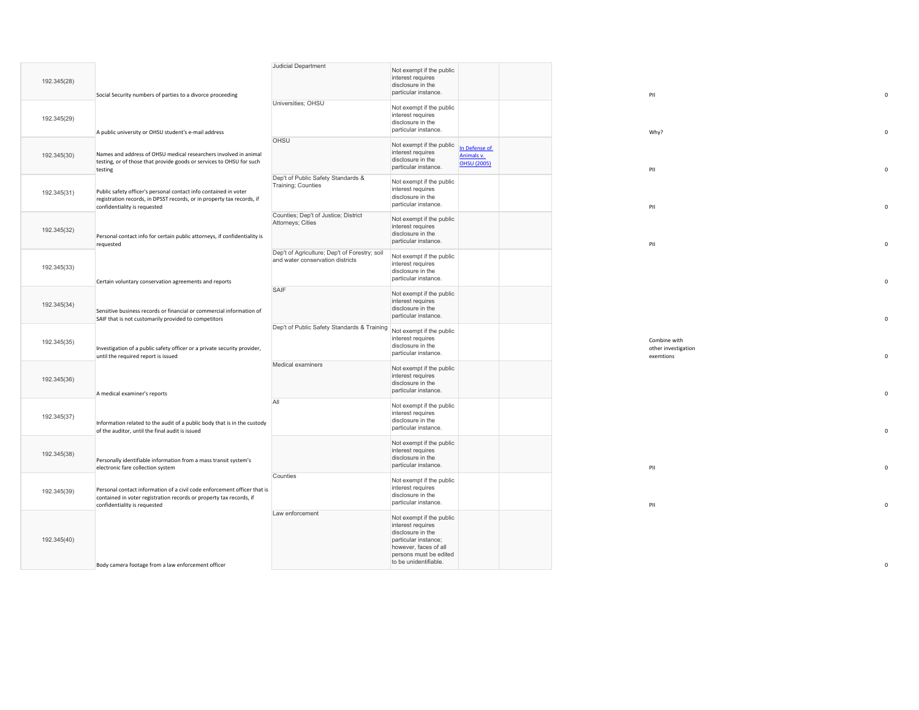|             |                                                                                                                                                                                 | Judicial Department                                                               |                                                                                                                                               |                                                   |  |                                                  |  |
|-------------|---------------------------------------------------------------------------------------------------------------------------------------------------------------------------------|-----------------------------------------------------------------------------------|-----------------------------------------------------------------------------------------------------------------------------------------------|---------------------------------------------------|--|--------------------------------------------------|--|
| 192.345(28) | Social Security numbers of parties to a divorce proceeding                                                                                                                      |                                                                                   | Not exempt if the public<br>interest requires<br>disclosure in the<br>particular instance.                                                    |                                                   |  | PII                                              |  |
| 192.345(29) | A public university or OHSU student's e-mail address                                                                                                                            | Universities; OHSU                                                                | Not exempt if the public<br>interest requires<br>disclosure in the<br>particular instance.                                                    |                                                   |  | Why?                                             |  |
| 192.345(30) | Names and address of OHSU medical researchers involved in animal<br>testing, or of those that provide goods or services to OHSU for such<br>testing                             | OHSU                                                                              | Not exempt if the public<br>interest requires<br>disclosure in the<br>particular instance.                                                    | In Defense of<br>Animals v.<br><b>OHSU (2005)</b> |  | PII                                              |  |
| 192.345(31) | Public safety officer's personal contact info contained in voter<br>registration records, in DPSST records, or in property tax records, if<br>confidentiality is requested      | Dep't of Public Safety Standards &<br>Training; Counties                          | Not exempt if the public<br>interest requires<br>disclosure in the<br>particular instance.                                                    |                                                   |  | PII                                              |  |
| 192.345(32) | Personal contact info for certain public attorneys, if confidentiality is<br>requested                                                                                          | Counties; Dep't of Justice; District<br>Attorneys; Cities                         | Not exempt if the public<br>interest requires<br>disclosure in the<br>particular instance.                                                    |                                                   |  | PII                                              |  |
| 192.345(33) | Certain voluntary conservation agreements and reports                                                                                                                           | Dep't of Agriculture; Dep't of Forestry; soil<br>and water conservation districts | Not exempt if the public<br>interest requires<br>disclosure in the<br>particular instance.                                                    |                                                   |  |                                                  |  |
| 192.345(34) | Sensitive business records or financial or commercial information of<br>SAIF that is not customarily provided to competitors                                                    | SAIF                                                                              | Not exempt if the public<br>interest requires<br>disclosure in the<br>particular instance.                                                    |                                                   |  |                                                  |  |
| 192.345(35) | Investigation of a public safety officer or a private security provider,<br>until the required report is issued                                                                 | Dep't of Public Safety Standards & Training Not exempt if the public              | interest requires<br>disclosure in the<br>particular instance.                                                                                |                                                   |  | Combine with<br>other investigation<br>exemtions |  |
| 192.345(36) | A medical examiner's reports                                                                                                                                                    | Medical examiners                                                                 | Not exempt if the public<br>interest requires<br>disclosure in the<br>particular instance.                                                    |                                                   |  |                                                  |  |
| 192.345(37) | Information related to the audit of a public body that is in the custody<br>of the auditor, until the final audit is issued                                                     | All                                                                               | Not exempt if the public<br>interest requires<br>disclosure in the<br>particular instance.                                                    |                                                   |  |                                                  |  |
| 192.345(38) | Personally identifiable information from a mass transit system's<br>electronic fare collection system                                                                           |                                                                                   | Not exempt if the public<br>interest requires<br>disclosure in the<br>particular instance.                                                    |                                                   |  | PII                                              |  |
| 192.345(39) | Personal contact information of a civil code enforcement officer that is<br>contained in voter registration records or property tax records, if<br>confidentiality is requested | Counties                                                                          | Not exempt if the public<br>interest requires<br>disclosure in the<br>particular instance.                                                    |                                                   |  | PII                                              |  |
| 192.345(40) |                                                                                                                                                                                 | Law enforcement                                                                   | Not exempt if the public<br>interest requires<br>disclosure in the<br>particular instance;<br>however, faces of all<br>persons must be edited |                                                   |  |                                                  |  |
|             | Body camera footage from a law enforcement officer                                                                                                                              |                                                                                   | to be unidentifiable.                                                                                                                         |                                                   |  |                                                  |  |

 $\mathsf{o}$ 

 $\mathbf 0$ 

 $\mathbf 0$ 

 $\mathbf 0$ 

 $\mathsf{o}$ 

 $\mathsf{o}$ 

 $\mathbf 0$ 

 $\mathbf 0$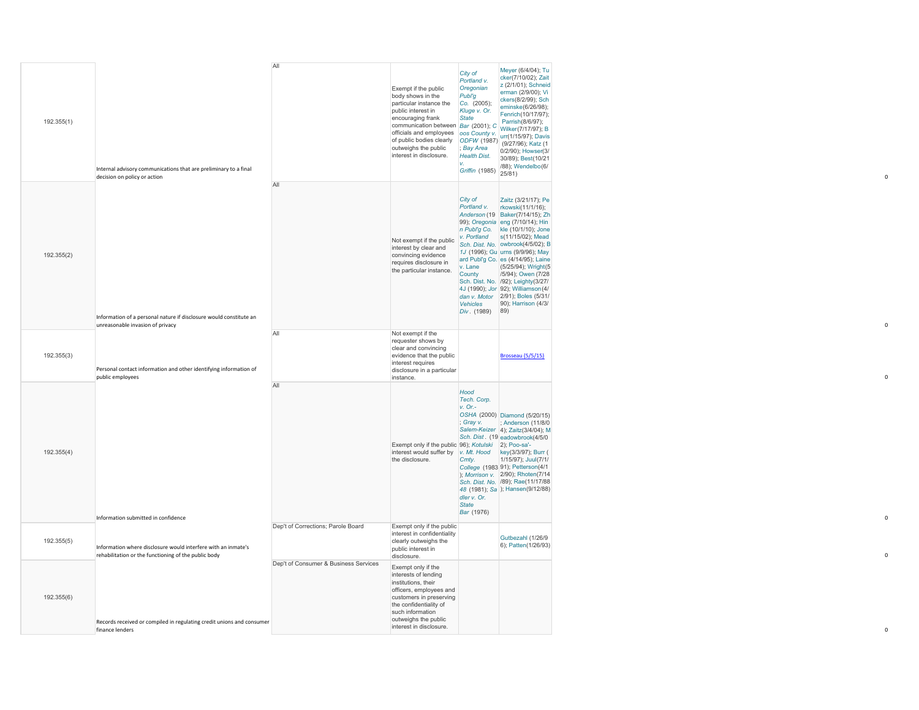| 192.355(1) | Internal advisory communications that are preliminary to a final<br>decision on policy or action                      | All                                   | Exempt if the public<br>body shows in the<br>particular instance the<br>public interest in<br>encouraging frank<br>communication between Bar (2001); C<br>officials and employees oos County v.<br>officials and employees oos County v.<br>of public bodies clearly (ODFW (1987)<br>outweight the public DRV (1987) (9/27/96); Katz (1<br>outweighs the public<br>interest in disclosure. | City of<br>Portland v.<br>Oregonian<br>Publ'g<br>Co. (2005);<br>Kluge v. Or.<br><b>State</b><br>; Bay Area<br><b>Health Dist.</b><br>Griffin (1985) $ 25/81$ ) | Meyer (6/4/04); Tu<br>cker(7/10/02); Zait<br>z (2/1/01); Schneid<br>erman (2/9/00); Vi<br>ckers(8/2/99); Sch<br>eminske(6/26/98);<br>Fenrich(10/17/97);<br>Parrish(8/6/97);<br>Wilker(7/17/97); B<br>0/2/90); Howser(3/<br>30/89); Best(10/21<br>/88); Wendelbo(6/                                                                                                                                                                                                                                                |  |
|------------|-----------------------------------------------------------------------------------------------------------------------|---------------------------------------|--------------------------------------------------------------------------------------------------------------------------------------------------------------------------------------------------------------------------------------------------------------------------------------------------------------------------------------------------------------------------------------------|----------------------------------------------------------------------------------------------------------------------------------------------------------------|-------------------------------------------------------------------------------------------------------------------------------------------------------------------------------------------------------------------------------------------------------------------------------------------------------------------------------------------------------------------------------------------------------------------------------------------------------------------------------------------------------------------|--|
| 192.355(2) | Information of a personal nature if disclosure would constitute an<br>unreasonable invasion of privacy                | All                                   | Not exempt if the public<br>interest by clear and<br>convincing evidence<br>requires disclosure in<br>the particular instance.                                                                                                                                                                                                                                                             | City of<br>v. Lane<br>County<br>Div. $(1989)$ 89)                                                                                                              | Zaitz (3/21/17); Pe<br>Portland v. rkowski(11/1/16);<br>Anderson (19 Baker(7/14/15); Zh<br>99); Oregonia eng (7/10/14); Hin<br>n Publ'g Co. kle (10/1/10); Jone<br>v. Portland $s(11/15/02)$ ; Mead<br>Sch. Dist. No. owbrook(4/5/02); B<br>1J (1996); Gu urns (9/9/96); May<br>ard Publ'g Co. es (4/14/95); Laine<br>(5/25/94); Wright(5)<br>/5/94); Owen (7/28)<br>Sch. Dist. No. /92); Leighty(3/27/<br>4J (1990); Jor 92); Williamson (4/<br>dan v. Motor 2/91); Boles (5/31/<br>Vehicles 90); Harrison (4/3/ |  |
| 192.355(3) | Personal contact information and other identifying information of<br>public employees                                 | All                                   | Not exempt if the<br>requester shows by<br>clear and convincing<br>evidence that the public<br>interest requires<br>disclosure in a particular<br>instance.                                                                                                                                                                                                                                |                                                                                                                                                                | <b>Brosseau</b> (5/5/15)                                                                                                                                                                                                                                                                                                                                                                                                                                                                                          |  |
| 192.355(4) | Information submitted in confidence                                                                                   | All                                   | Exempt only if the public 96); Kotulski 2); Poo-sa'-<br>interest would suffer by v. Mt. Hood key(3/3/97); Burr (<br>the disclosure.                                                                                                                                                                                                                                                        | Hood<br>Tech. Corp.<br>$v.$ Or.-<br>; Gray v.<br>Cmty.<br>dler v. Or.<br><b>State</b><br>Bar (1976)                                                            | OSHA (2000) Diamond (5/20/15)<br>; Anderson (11/8/0<br>Salem-Keizer 4); Zaitz(3/4/04); M<br>Sch. Dist. (19 eadowbrook(4/5/0<br>1/15/97); Juul(7/1/<br>College (1983 91); Petterson(4/1<br>); Morrison v. 2/90); Rhoten(7/14<br>Sch. Dist. No. /89); Rae(11/17/88<br>48 (1981); Sa   ); Hansen(9/12/88)                                                                                                                                                                                                            |  |
| 192.355(5) | Information where disclosure would interfere with an inmate's<br>rehabilitation or the functioning of the public body | Dep't of Corrections; Parole Board    | Exempt only if the public<br>interest in confidentiality<br>clearly outweighs the<br>public interest in<br>disclosure.                                                                                                                                                                                                                                                                     |                                                                                                                                                                | Gutbezahl (1/26/9<br>6); Patten(1/26/93)                                                                                                                                                                                                                                                                                                                                                                                                                                                                          |  |
| 192.355(6) | Records received or compiled in regulating credit unions and consumer<br>finance lenders                              | Dep't of Consumer & Business Services | Exempt only if the<br>interests of lending<br>institutions, their<br>officers, employees and<br>customers in preserving<br>the confidentiality of<br>such information<br>outweighs the public<br>interest in disclosure.                                                                                                                                                                   |                                                                                                                                                                |                                                                                                                                                                                                                                                                                                                                                                                                                                                                                                                   |  |

 $\mathbf 0$ 

 $\mathbf 0$ 

0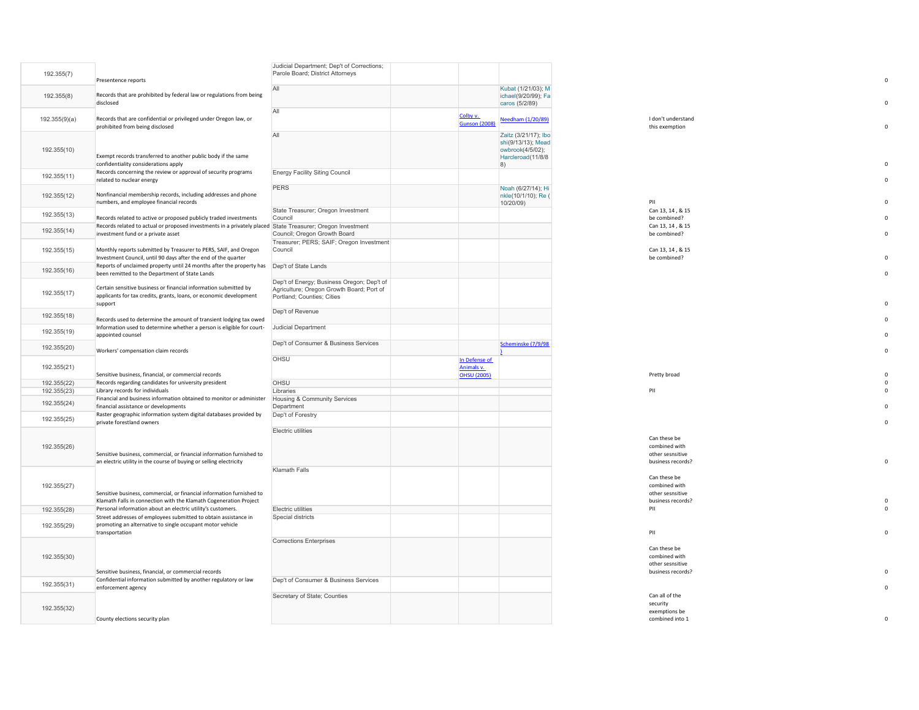|               |                                                                                                                                                  | Judicial Department; Dep't of Corrections;                                              |                      |                                            |                                       |
|---------------|--------------------------------------------------------------------------------------------------------------------------------------------------|-----------------------------------------------------------------------------------------|----------------------|--------------------------------------------|---------------------------------------|
| 192.355(7)    | Presentence reports                                                                                                                              | Parole Board; District Attorneys                                                        |                      |                                            |                                       |
|               |                                                                                                                                                  | All                                                                                     |                      | Kubat (1/21/03); M                         |                                       |
| 192.355(8)    | Records that are prohibited by federal law or regulations from being                                                                             |                                                                                         |                      | ichael(9/20/99); Fa                        |                                       |
|               | disclosed                                                                                                                                        |                                                                                         |                      | caros (5/2/89)                             |                                       |
|               |                                                                                                                                                  | All                                                                                     | Colby v.             |                                            |                                       |
| 192.355(9)(a) | Records that are confidential or privileged under Oregon law, or                                                                                 |                                                                                         | <b>Gunson (2008)</b> | Needham (1/20/89)                          | I don't understand                    |
|               | prohibited from being disclosed                                                                                                                  |                                                                                         |                      |                                            | this exemption                        |
|               |                                                                                                                                                  | All                                                                                     |                      | Zaitz (3/21/17); Ibo<br>shi(9/13/13); Mead |                                       |
| 192.355(10)   |                                                                                                                                                  |                                                                                         |                      | owbrook(4/5/02);                           |                                       |
|               | Exempt records transferred to another public body if the same                                                                                    |                                                                                         |                      | Harcleroad(11/8/8                          |                                       |
|               | confidentiality considerations apply                                                                                                             |                                                                                         |                      | 8)                                         |                                       |
| 192.355(11)   | Records concerning the review or approval of security programs                                                                                   | <b>Energy Facility Siting Council</b>                                                   |                      |                                            |                                       |
|               | related to nuclear energy                                                                                                                        | <b>PERS</b>                                                                             |                      | Noah (6/27/14); Hi                         |                                       |
| 192.355(12)   | Nonfinancial membership records, including addresses and phone                                                                                   |                                                                                         |                      | nkle(10/1/10); Re (                        |                                       |
|               | numbers, and employee financial records                                                                                                          |                                                                                         |                      | 10/20/09)                                  | PII                                   |
| 192.355(13)   |                                                                                                                                                  | State Treasurer; Oregon Investment                                                      |                      |                                            | Can 13, 14, & 15                      |
|               | Records related to active or proposed publicly traded investments                                                                                | Council                                                                                 |                      |                                            | be combined?                          |
| 192.355(14)   | Records related to actual or proposed investments in a privately placed State Treasurer; Oregon Investment<br>investment fund or a private asset | Council; Oregon Growth Board                                                            |                      |                                            | Can 13, 14, & 15<br>be combined?      |
|               |                                                                                                                                                  | Treasurer; PERS; SAIF; Oregon Investment                                                |                      |                                            |                                       |
| 192.355(15)   | Monthly reports submitted by Treasurer to PERS, SAIF, and Oregon                                                                                 | Council                                                                                 |                      |                                            | Can 13, 14, & 15                      |
|               | Investment Council, until 90 days after the end of the quarter                                                                                   |                                                                                         |                      |                                            | be combined?                          |
| 192.355(16)   | Reports of unclaimed property until 24 months after the property has                                                                             | Dep't of State Lands                                                                    |                      |                                            |                                       |
|               | been remitted to the Department of State Lands                                                                                                   |                                                                                         |                      |                                            |                                       |
|               | Certain sensitive business or financial information submitted by                                                                                 | Dep't of Energy; Business Oregon; Dep't of<br>Agriculture; Oregon Growth Board; Port of |                      |                                            |                                       |
| 192.355(17)   | applicants for tax credits, grants, loans, or economic development                                                                               | Portland; Counties; Cities                                                              |                      |                                            |                                       |
|               | support                                                                                                                                          |                                                                                         |                      |                                            |                                       |
| 192.355(18)   |                                                                                                                                                  | Dep't of Revenue                                                                        |                      |                                            |                                       |
|               | Records used to determine the amount of transient lodging tax owed                                                                               |                                                                                         |                      |                                            |                                       |
| 192.355(19)   | Information used to determine whether a person is eligible for court-                                                                            | Judicial Department                                                                     |                      |                                            |                                       |
|               | appointed counsel                                                                                                                                | Dep't of Consumer & Business Services                                                   |                      |                                            |                                       |
| 192.355(20)   | Workers' compensation claim records                                                                                                              |                                                                                         |                      | Scheminske (7/9/98                         |                                       |
|               |                                                                                                                                                  | OHSU                                                                                    | In Defense of        |                                            |                                       |
| 192.355(21)   |                                                                                                                                                  |                                                                                         | Animals v.           |                                            |                                       |
|               | Sensitive business, financial, or commercial records                                                                                             |                                                                                         | <b>OHSU (2005)</b>   |                                            | Pretty broad                          |
| 192.355(22)   | Records regarding candidates for university president                                                                                            | OHSU                                                                                    |                      |                                            |                                       |
| 192.355(23)   | Library records for individuals<br>Financial and business information obtained to monitor or administer                                          | Libraries<br>Housing & Community Services                                               |                      |                                            | PII                                   |
| 192.355(24)   | financial assistance or developments                                                                                                             | Department                                                                              |                      |                                            |                                       |
|               | Raster geographic information system digital databases provided by                                                                               | Dep't of Forestry                                                                       |                      |                                            |                                       |
| 192.355(25)   | private forestland owners                                                                                                                        |                                                                                         |                      |                                            |                                       |
|               |                                                                                                                                                  | Electric utilities                                                                      |                      |                                            |                                       |
|               |                                                                                                                                                  |                                                                                         |                      |                                            | Can these be                          |
| 192.355(26)   | Sensitive business, commercial, or financial information furnished to                                                                            |                                                                                         |                      |                                            | combined with<br>other sesnsitive     |
|               | an electric utility in the course of buying or selling electricity                                                                               |                                                                                         |                      |                                            | business records?                     |
|               |                                                                                                                                                  | Klamath Falls                                                                           |                      |                                            |                                       |
|               |                                                                                                                                                  |                                                                                         |                      |                                            | Can these be                          |
| 192.355(27)   |                                                                                                                                                  |                                                                                         |                      |                                            | combined with                         |
|               | Sensitive business, commercial, or financial information furnished to<br>Klamath Falls in connection with the Klamath Cogeneration Project       |                                                                                         |                      |                                            | other sesnsitive<br>business records? |
| 192.355(28)   | Personal information about an electric utility's customers.                                                                                      | Electric utilities                                                                      |                      |                                            | PII                                   |
|               | Street addresses of employees submitted to obtain assistance in                                                                                  | Special districts                                                                       |                      |                                            |                                       |
| 192.355(29)   | promoting an alternative to single occupant motor vehicle                                                                                        |                                                                                         |                      |                                            |                                       |
|               | transportation                                                                                                                                   |                                                                                         |                      |                                            | PII                                   |
|               |                                                                                                                                                  | <b>Corrections Enterprises</b>                                                          |                      |                                            |                                       |
|               |                                                                                                                                                  |                                                                                         |                      |                                            | Can these be                          |
| 192.355(30)   |                                                                                                                                                  |                                                                                         |                      |                                            | combined with<br>other sesnsitive     |
|               | Sensitive business, financial, or commercial records                                                                                             |                                                                                         |                      |                                            | business records?                     |
|               | Confidential information submitted by another regulatory or law                                                                                  | Dep't of Consumer & Business Services                                                   |                      |                                            |                                       |
| 192.355(31)   | enforcement agency                                                                                                                               |                                                                                         |                      |                                            |                                       |
|               |                                                                                                                                                  | Secretary of State; Counties                                                            |                      |                                            | Can all of the                        |
| 192.355(32)   |                                                                                                                                                  |                                                                                         |                      |                                            | security                              |
|               | County elections security plan                                                                                                                   |                                                                                         |                      |                                            | exemptions be<br>combined into 1      |
|               |                                                                                                                                                  |                                                                                         |                      |                                            |                                       |

| ,2000,             |                                        | this exemption                        | O                    |
|--------------------|----------------------------------------|---------------------------------------|----------------------|
|                    | Zaitz (3/21/17); Ibo                   |                                       |                      |
|                    | shi(9/13/13); Mead<br>owbrook(4/5/02); |                                       |                      |
|                    | Harcleroad(11/8/8                      |                                       |                      |
|                    | 8)                                     |                                       | 0                    |
|                    |                                        |                                       | $\mathfrak{o}$       |
|                    | Noah (6/27/14); Hi                     |                                       |                      |
|                    | nkle(10/1/10); Re (                    |                                       |                      |
|                    | 10/20/09)                              | PII<br>Can 13, 14, & 15               | 0                    |
|                    |                                        | be combined?                          | $\Omega$             |
|                    |                                        | Can 13, 14, & 15                      |                      |
|                    |                                        | be combined?                          | $\mathbf 0$          |
|                    |                                        | Can 13, 14, & 15                      |                      |
|                    |                                        | be combined?                          | 0                    |
|                    |                                        |                                       | O                    |
|                    |                                        |                                       |                      |
|                    |                                        |                                       |                      |
|                    |                                        |                                       | O                    |
|                    |                                        |                                       |                      |
|                    |                                        |                                       | $\mathfrak{o}$       |
|                    |                                        |                                       | 0                    |
|                    | Scheminske (7/9/98)                    |                                       |                      |
| In Defense of      | n                                      |                                       | $\mathbf 0$          |
| Animals v.         |                                        |                                       |                      |
| <b>OHSU</b> (2005) |                                        | Pretty broad                          | O                    |
|                    |                                        | PII                                   | $\Omega$<br>$\Omega$ |
|                    |                                        |                                       |                      |
|                    |                                        |                                       | O                    |
|                    |                                        |                                       | $\mathbf 0$          |
|                    |                                        |                                       |                      |
|                    |                                        | Can these be                          |                      |
|                    |                                        | combined with                         |                      |
|                    |                                        | other sesnsitive<br>business records? | O                    |
|                    |                                        |                                       |                      |
|                    |                                        | Can these be                          |                      |
|                    |                                        | combined with<br>other sesnsitive     |                      |
|                    |                                        | business records?                     | O                    |
|                    |                                        | PII                                   | $\mathfrak{o}$       |
|                    |                                        |                                       |                      |
|                    |                                        | P                                     | O                    |
|                    |                                        |                                       |                      |
|                    |                                        | Can these be<br>combined with         |                      |
|                    |                                        | other sesnsitive                      |                      |
|                    |                                        | business records?                     | O                    |
|                    |                                        |                                       | O                    |
|                    |                                        | Can all of the                        |                      |
|                    |                                        | security                              |                      |
|                    |                                        | exemptions be<br>combined into 1      | $\mathbf 0$          |
|                    |                                        |                                       |                      |

 $\mathbf 0$ 

0

 $\mathfrak o$ 

 $\begin{smallmatrix}0\\0\\0\end{smallmatrix}$ 

 $\mathsf{o}$ 

 $\mathbf 0$